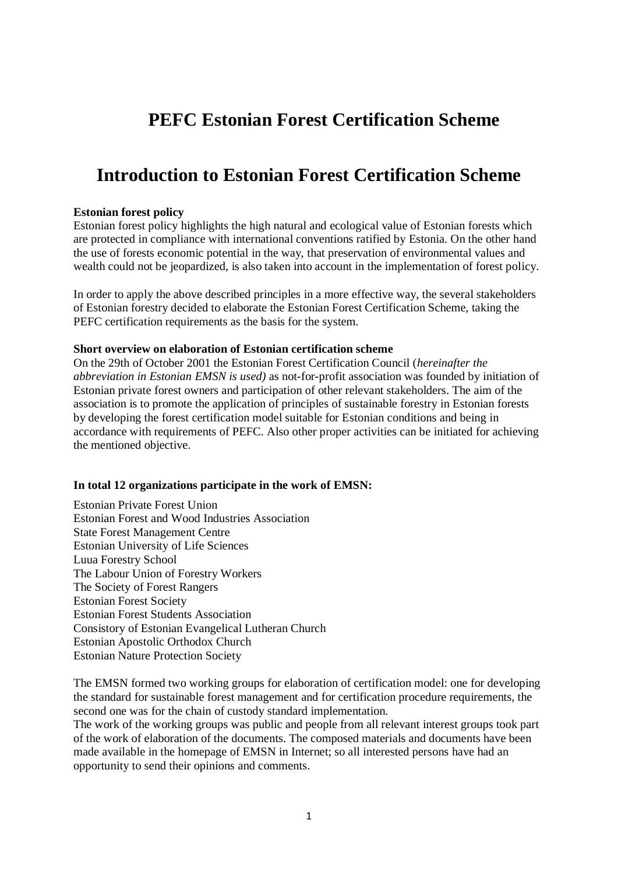# **PEFC Estonian Forest Certification Scheme**

## **Introduction to Estonian Forest Certification Scheme**

#### **Estonian forest policy**

Estonian forest policy highlights the high natural and ecological value of Estonian forests which are protected in compliance with international conventions ratified by Estonia. On the other hand the use of forests economic potential in the way, that preservation of environmental values and wealth could not be jeopardized, is also taken into account in the implementation of forest policy.

In order to apply the above described principles in a more effective way, the several stakeholders of Estonian forestry decided to elaborate the Estonian Forest Certification Scheme, taking the PEFC certification requirements as the basis for the system.

#### **Short overview on elaboration of Estonian certification scheme**

On the 29th of October 2001 the Estonian Forest Certification Council (*hereinafter the abbreviation in Estonian EMSN is used)* as not-for-profit association was founded by initiation of Estonian private forest owners and participation of other relevant stakeholders. The aim of the association is to promote the application of principles of sustainable forestry in Estonian forests by developing the forest certification model suitable for Estonian conditions and being in accordance with requirements of PEFC. Also other proper activities can be initiated for achieving the mentioned objective.

## **In total 12 organizations participate in the work of EMSN:**

Estonian Private Forest Union Estonian Forest and Wood Industries Association State Forest Management Centre Estonian University of Life Sciences Luua Forestry School The Labour Union of Forestry Workers The Society of Forest Rangers Estonian Forest Society Estonian Forest Students Association Consistory of Estonian Evangelical Lutheran Church Estonian Apostolic Orthodox Church Estonian Nature Protection Society

The EMSN formed two working groups for elaboration of certification model: one for developing the standard for sustainable forest management and for certification procedure requirements, the second one was for the chain of custody standard implementation.

The work of the working groups was public and people from all relevant interest groups took part of the work of elaboration of the documents. The composed materials and documents have been made available in the homepage of EMSN in Internet; so all interested persons have had an opportunity to send their opinions and comments.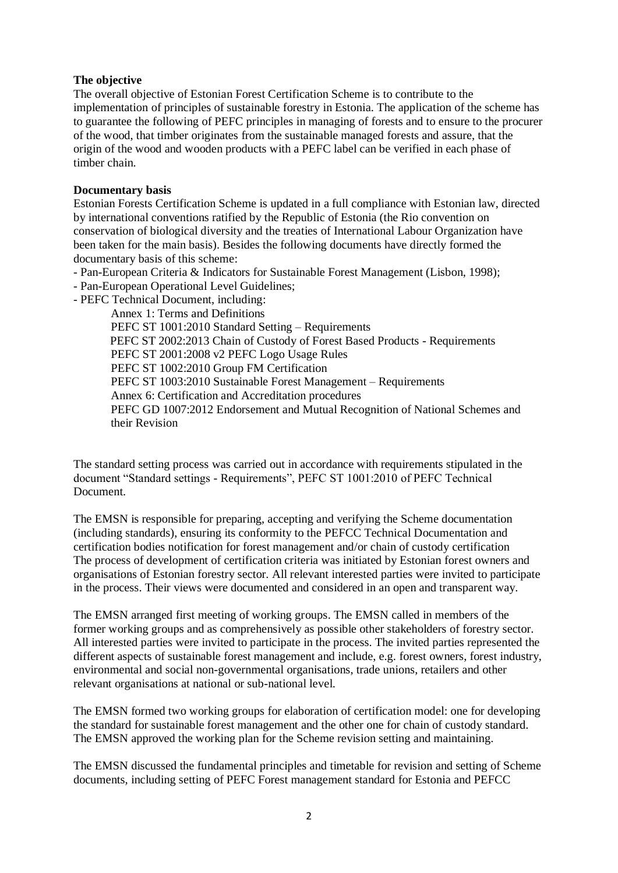### **The objective**

The overall objective of Estonian Forest Certification Scheme is to contribute to the implementation of principles of sustainable forestry in Estonia. The application of the scheme has to guarantee the following of PEFC principles in managing of forests and to ensure to the procurer of the wood, that timber originates from the sustainable managed forests and assure, that the origin of the wood and wooden products with a PEFC label can be verified in each phase of timber chain.

## **Documentary basis**

Estonian Forests Certification Scheme is updated in a full compliance with Estonian law, directed by international conventions ratified by the Republic of Estonia (the Rio convention on conservation of biological diversity and the treaties of International Labour Organization have been taken for the main basis). Besides the following documents have directly formed the documentary basis of this scheme:

- Pan-European Criteria & Indicators for Sustainable Forest Management (Lisbon, 1998);

- Pan-European Operational Level Guidelines;

- PEFC Technical Document, including:

Annex 1: Terms and Definitions PEFC ST 1001:2010 Standard Setting – Requirements PEFC ST 2002:2013 Chain of Custody of Forest Based Products - Requirements PEFC ST 2001:2008 v2 PEFC Logo Usage Rules PEFC ST 1002:2010 Group FM Certification PEFC ST 1003:2010 Sustainable Forest Management – Requirements Annex 6: Certification and Accreditation procedures PEFC GD 1007:2012 Endorsement and Mutual Recognition of National Schemes and their Revision

The standard setting process was carried out in accordance with requirements stipulated in the document "Standard settings - Requirements", PEFC ST 1001:2010 of PEFC Technical Document.

The EMSN is responsible for preparing, accepting and verifying the Scheme documentation (including standards), ensuring its conformity to the PEFCC Technical Documentation and certification bodies notification for forest management and/or chain of custody certification The process of development of certification criteria was initiated by Estonian forest owners and organisations of Estonian forestry sector. All relevant interested parties were invited to participate in the process. Their views were documented and considered in an open and transparent way.

The EMSN arranged first meeting of working groups. The EMSN called in members of the former working groups and as comprehensively as possible other stakeholders of forestry sector. All interested parties were invited to participate in the process. The invited parties represented the different aspects of sustainable forest management and include, e.g. forest owners, forest industry, environmental and social non-governmental organisations, trade unions, retailers and other relevant organisations at national or sub-national level.

The EMSN formed two working groups for elaboration of certification model: one for developing the standard for sustainable forest management and the other one for chain of custody standard. The EMSN approved the working plan for the Scheme revision setting and maintaining.

The EMSN discussed the fundamental principles and timetable for revision and setting of Scheme documents, including setting of PEFC Forest management standard for Estonia and PEFCC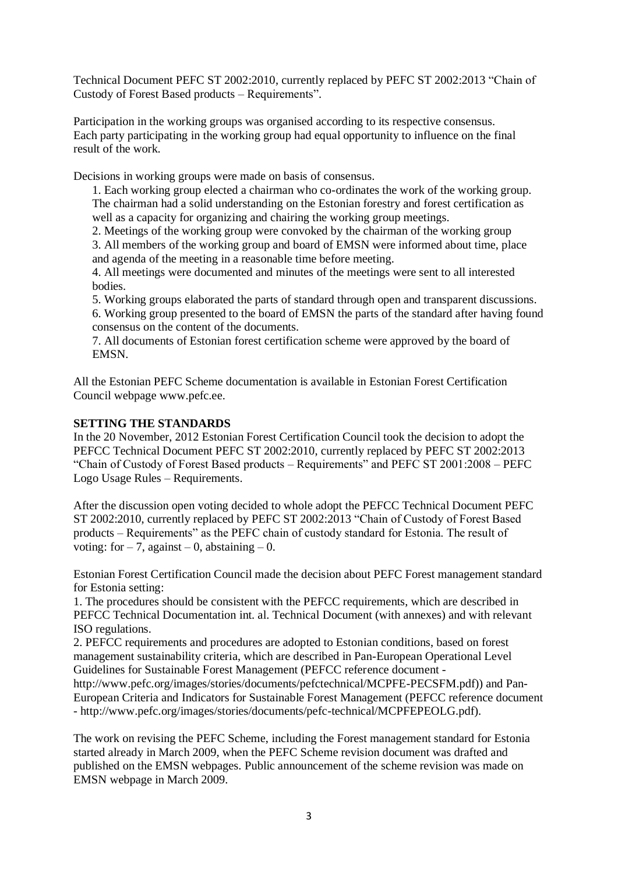Technical Document PEFC ST 2002:2010, currently replaced by PEFC ST 2002:2013 "Chain of Custody of Forest Based products – Requirements".

Participation in the working groups was organised according to its respective consensus. Each party participating in the working group had equal opportunity to influence on the final result of the work.

Decisions in working groups were made on basis of consensus.

1. Each working group elected a chairman who co-ordinates the work of the working group. The chairman had a solid understanding on the Estonian forestry and forest certification as well as a capacity for organizing and chairing the working group meetings.

2. Meetings of the working group were convoked by the chairman of the working group

3. All members of the working group and board of EMSN were informed about time, place and agenda of the meeting in a reasonable time before meeting.

4. All meetings were documented and minutes of the meetings were sent to all interested bodies.

5. Working groups elaborated the parts of standard through open and transparent discussions.

6. Working group presented to the board of EMSN the parts of the standard after having found consensus on the content of the documents.

7. All documents of Estonian forest certification scheme were approved by the board of EMSN.

All the Estonian PEFC Scheme documentation is available in Estonian Forest Certification Council webpage www.pefc.ee.

## **SETTING THE STANDARDS**

In the 20 November, 2012 Estonian Forest Certification Council took the decision to adopt the PEFCC Technical Document PEFC ST 2002:2010, currently replaced by PEFC ST 2002:2013 "Chain of Custody of Forest Based products – Requirements" and PEFC ST 2001:2008 – PEFC Logo Usage Rules – Requirements.

After the discussion open voting decided to whole adopt the PEFCC Technical Document PEFC ST 2002:2010, currently replaced by PEFC ST 2002:2013 "Chain of Custody of Forest Based products – Requirements" as the PEFC chain of custody standard for Estonia. The result of voting: for  $-7$ , against  $-0$ , abstaining  $-0$ .

Estonian Forest Certification Council made the decision about PEFC Forest management standard for Estonia setting:

1. The procedures should be consistent with the PEFCC requirements, which are described in PEFCC Technical Documentation int. al. Technical Document (with annexes) and with relevant ISO regulations.

2. PEFCC requirements and procedures are adopted to Estonian conditions, based on forest management sustainability criteria, which are described in Pan-European Operational Level Guidelines for Sustainable Forest Management (PEFCC reference document -

http://www.pefc.org/images/stories/documents/pefctechnical/MCPFE-PECSFM.pdf)) and Pan-European Criteria and Indicators for Sustainable Forest Management (PEFCC reference document - http://www.pefc.org/images/stories/documents/pefc-technical/MCPFEPEOLG.pdf).

The work on revising the PEFC Scheme, including the Forest management standard for Estonia started already in March 2009, when the PEFC Scheme revision document was drafted and published on the EMSN webpages. Public announcement of the scheme revision was made on EMSN webpage in March 2009.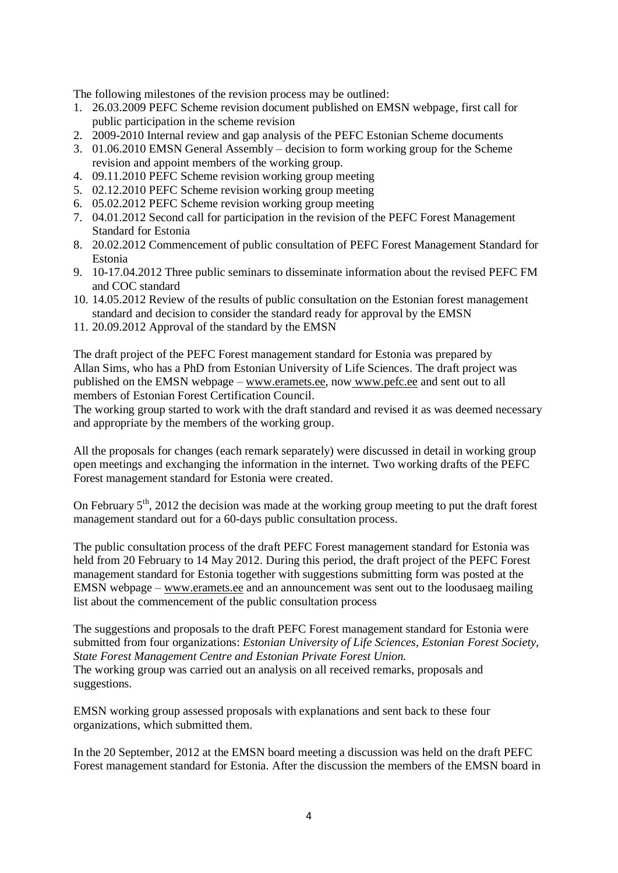The following milestones of the revision process may be outlined:

- 1. 26.03.2009 PEFC Scheme revision document published on EMSN webpage, first call for public participation in the scheme revision
- 2. 2009-2010 Internal review and gap analysis of the PEFC Estonian Scheme documents
- 3. 01.06.2010 EMSN General Assembly decision to form working group for the Scheme revision and appoint members of the working group.
- 4. 09.11.2010 PEFC Scheme revision working group meeting
- 5. 02.12.2010 PEFC Scheme revision working group meeting
- 6. 05.02.2012 PEFC Scheme revision working group meeting
- 7. 04.01.2012 Second call for participation in the revision of the PEFC Forest Management Standard for Estonia
- 8. 20.02.2012 Commencement of public consultation of PEFC Forest Management Standard for Estonia
- 9. 10-17.04.2012 Three public seminars to disseminate information about the revised PEFC FM and COC standard
- 10. 14.05.2012 Review of the results of public consultation on the Estonian forest management standard and decision to consider the standard ready for approval by the EMSN
- 11. 20.09.2012 Approval of the standard by the EMSN

The draft project of the PEFC Forest management standard for Estonia was prepared by Allan Sims, who has a PhD from Estonian University of Life Sciences. The draft project was published on the EMSN webpage – [www.eramets.ee,](http://www.eramets.ee/) now [www.pefc.ee](http://www.pefc.ee/) and sent out to all members of Estonian Forest Certification Council.

The working group started to work with the draft standard and revised it as was deemed necessary and appropriate by the members of the working group.

All the proposals for changes (each remark separately) were discussed in detail in working group open meetings and exchanging the information in the internet. Two working drafts of the PEFC Forest management standard for Estonia were created.

On February  $5<sup>th</sup>$ , 2012 the decision was made at the working group meeting to put the draft forest management standard out for a 60-days public consultation process.

The public consultation process of the draft PEFC Forest management standard for Estonia was held from 20 February to 14 May 2012. During this period, the draft project of the PEFC Forest management standard for Estonia together with suggestions submitting form was posted at the EMSN webpage – [www.eramets.ee](http://www.eramets.ee/) and an announcement was sent out to the loodusaeg mailing list about the commencement of the public consultation process

The suggestions and proposals to the draft PEFC Forest management standard for Estonia were submitted from four organizations: *Estonian University of Life Sciences, Estonian Forest Society, State Forest Management Centre and Estonian Private Forest Union.*  The working group was carried out an analysis on all received remarks, proposals and suggestions.

EMSN working group assessed proposals with explanations and sent back to these four organizations, which submitted them.

In the 20 September, 2012 at the EMSN board meeting a discussion was held on the draft PEFC Forest management standard for Estonia. After the discussion the members of the EMSN board in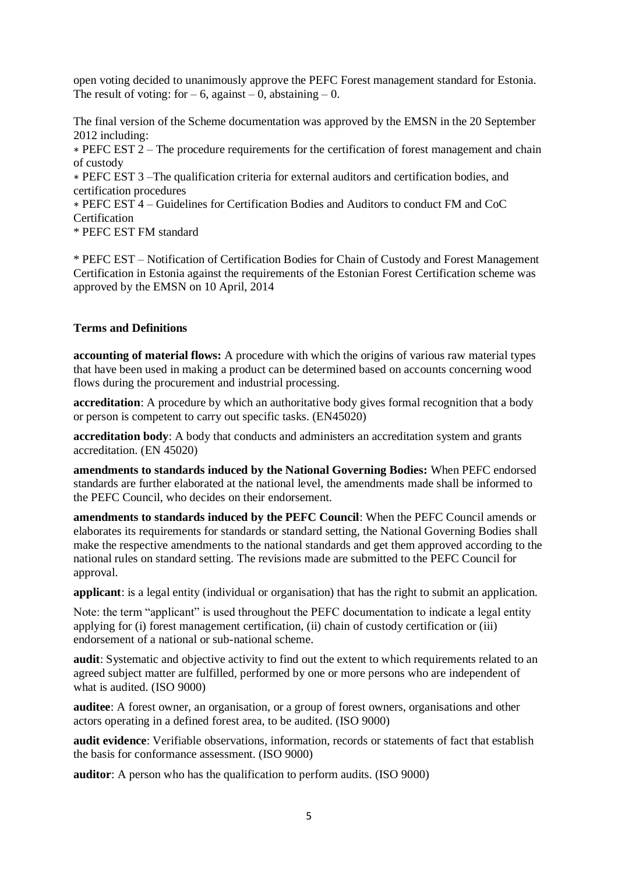open voting decided to unanimously approve the PEFC Forest management standard for Estonia. The result of voting: for  $-6$ , against  $-0$ , abstaining  $-0$ .

The final version of the Scheme documentation was approved by the EMSN in the 20 September 2012 including:

∗ PEFC EST 2 – The procedure requirements for the certification of forest management and chain of custody

∗ PEFC EST 3 –The qualification criteria for external auditors and certification bodies, and certification procedures

∗ PEFC EST 4 – Guidelines for Certification Bodies and Auditors to conduct FM and CoC Certification

\* PEFC EST FM standard

\* PEFC EST – Notification of Certification Bodies for Chain of Custody and Forest Management Certification in Estonia against the requirements of the Estonian Forest Certification scheme was approved by the EMSN on 10 April, 2014

### **Terms and Definitions**

**accounting of material flows:** A procedure with which the origins of various raw material types that have been used in making a product can be determined based on accounts concerning wood flows during the procurement and industrial processing.

**accreditation**: A procedure by which an authoritative body gives formal recognition that a body or person is competent to carry out specific tasks. (EN45020)

**accreditation body**: A body that conducts and administers an accreditation system and grants accreditation. (EN 45020)

**amendments to standards induced by the National Governing Bodies:** When PEFC endorsed standards are further elaborated at the national level, the amendments made shall be informed to the PEFC Council, who decides on their endorsement.

**amendments to standards induced by the PEFC Council**: When the PEFC Council amends or elaborates its requirements for standards or standard setting, the National Governing Bodies shall make the respective amendments to the national standards and get them approved according to the national rules on standard setting. The revisions made are submitted to the PEFC Council for approval.

**applicant**: is a legal entity (individual or organisation) that has the right to submit an application.

Note: the term "applicant" is used throughout the PEFC documentation to indicate a legal entity applying for (i) forest management certification, (ii) chain of custody certification or (iii) endorsement of a national or sub-national scheme.

**audit**: Systematic and objective activity to find out the extent to which requirements related to an agreed subject matter are fulfilled, performed by one or more persons who are independent of what is audited. (ISO 9000)

**auditee**: A forest owner, an organisation, or a group of forest owners, organisations and other actors operating in a defined forest area, to be audited. (ISO 9000)

**audit evidence**: Verifiable observations, information, records or statements of fact that establish the basis for conformance assessment. (ISO 9000)

**auditor**: A person who has the qualification to perform audits. (ISO 9000)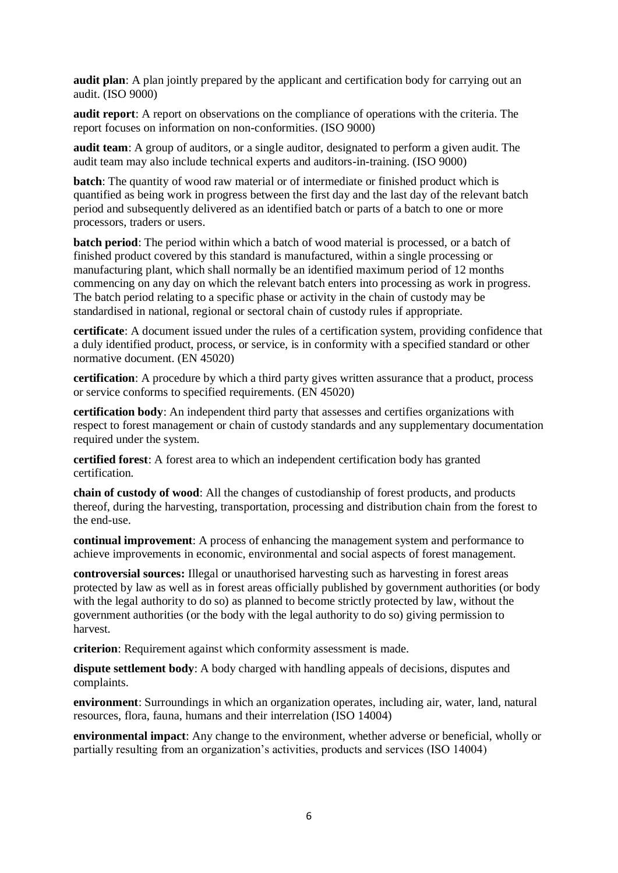**audit plan**: A plan jointly prepared by the applicant and certification body for carrying out an audit. (ISO 9000)

**audit report**: A report on observations on the compliance of operations with the criteria. The report focuses on information on non-conformities. (ISO 9000)

**audit team**: A group of auditors, or a single auditor, designated to perform a given audit. The audit team may also include technical experts and auditors-in-training. (ISO 9000)

**batch**: The quantity of wood raw material or of intermediate or finished product which is quantified as being work in progress between the first day and the last day of the relevant batch period and subsequently delivered as an identified batch or parts of a batch to one or more processors, traders or users.

**batch period**: The period within which a batch of wood material is processed, or a batch of finished product covered by this standard is manufactured, within a single processing or manufacturing plant, which shall normally be an identified maximum period of 12 months commencing on any day on which the relevant batch enters into processing as work in progress. The batch period relating to a specific phase or activity in the chain of custody may be standardised in national, regional or sectoral chain of custody rules if appropriate.

**certificate**: A document issued under the rules of a certification system, providing confidence that a duly identified product, process, or service, is in conformity with a specified standard or other normative document. (EN 45020)

**certification**: A procedure by which a third party gives written assurance that a product, process or service conforms to specified requirements. (EN 45020)

**certification body**: An independent third party that assesses and certifies organizations with respect to forest management or chain of custody standards and any supplementary documentation required under the system.

**certified forest**: A forest area to which an independent certification body has granted certification.

**chain of custody of wood**: All the changes of custodianship of forest products, and products thereof, during the harvesting*,* transportation, processing and distribution chain from the forest to the end-use.

**continual improvement**: A process of enhancing the management system and performance to achieve improvements in economic, environmental and social aspects of forest management.

**controversial sources:** Illegal or unauthorised harvesting such as harvesting in forest areas protected by law as well as in forest areas officially published by government authorities (or body with the legal authority to do so) as planned to become strictly protected by law, without the government authorities (or the body with the legal authority to do so) giving permission to harvest.

**criterion**: Requirement against which conformity assessment is made.

**dispute settlement body**: A body charged with handling appeals of decisions, disputes and complaints.

**environment**: Surroundings in which an organization operates, including air, water, land, natural resources, flora, fauna, humans and their interrelation (ISO 14004)

**environmental impact**: Any change to the environment, whether adverse or beneficial, wholly or partially resulting from an organization's activities, products and services (ISO 14004)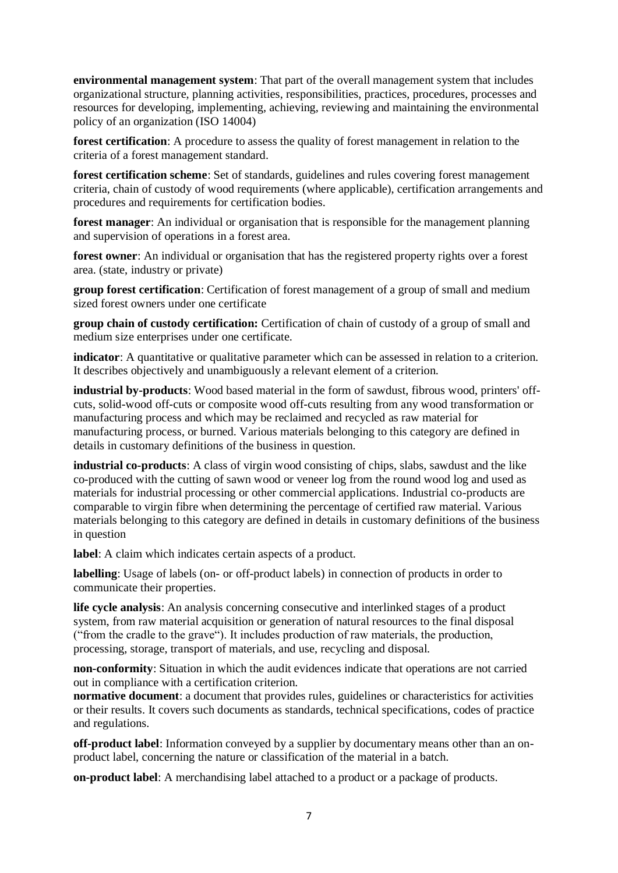**environmental management system**: That part of the overall management system that includes organizational structure, planning activities, responsibilities, practices, procedures, processes and resources for developing, implementing, achieving, reviewing and maintaining the environmental policy of an organization (ISO 14004)

**forest certification**: A procedure to assess the quality of forest management in relation to the criteria of a forest management standard.

**forest certification scheme**: Set of standards, guidelines and rules covering forest management criteria, chain of custody of wood requirements (where applicable), certification arrangements and procedures and requirements for certification bodies.

**forest manager**: An individual or organisation that is responsible for the management planning and supervision of operations in a forest area.

**forest owner**: An individual or organisation that has the registered property rights over a forest area. (state, industry or private)

**group forest certification**: Certification of forest management of a group of small and medium sized forest owners under one certificate

**group chain of custody certification:** Certification of chain of custody of a group of small and medium size enterprises under one certificate.

**indicator**: A quantitative or qualitative parameter which can be assessed in relation to a criterion. It describes objectively and unambiguously a relevant element of a criterion.

**industrial by-products**: Wood based material in the form of sawdust, fibrous wood, printers' offcuts, solid-wood off-cuts or composite wood off-cuts resulting from any wood transformation or manufacturing process and which may be reclaimed and recycled as raw material for manufacturing process, or burned. Various materials belonging to this category are defined in details in customary definitions of the business in question.

**industrial co-products**: A class of virgin wood consisting of chips, slabs, sawdust and the like co-produced with the cutting of sawn wood or veneer log from the round wood log and used as materials for industrial processing or other commercial applications. Industrial co-products are comparable to virgin fibre when determining the percentage of certified raw material. Various materials belonging to this category are defined in details in customary definitions of the business in question

**label**: A claim which indicates certain aspects of a product.

**labelling**: Usage of labels (on- or off-product labels) in connection of products in order to communicate their properties.

**life cycle analysis**: An analysis concerning consecutive and interlinked stages of a product system, from raw material acquisition or generation of natural resources to the final disposal ("from the cradle to the grave"). It includes production of raw materials, the production, processing, storage, transport of materials, and use, recycling and disposal.

**non-conformity**: Situation in which the audit evidences indicate that operations are not carried out in compliance with a certification criterion.

**normative document**: a document that provides rules, guidelines or characteristics for activities or their results. It covers such documents as standards, technical specifications, codes of practice and regulations.

**off-product label**: Information conveyed by a supplier by documentary means other than an onproduct label, concerning the nature or classification of the material in a batch.

**on-product label**: A merchandising label attached to a product or a package of products.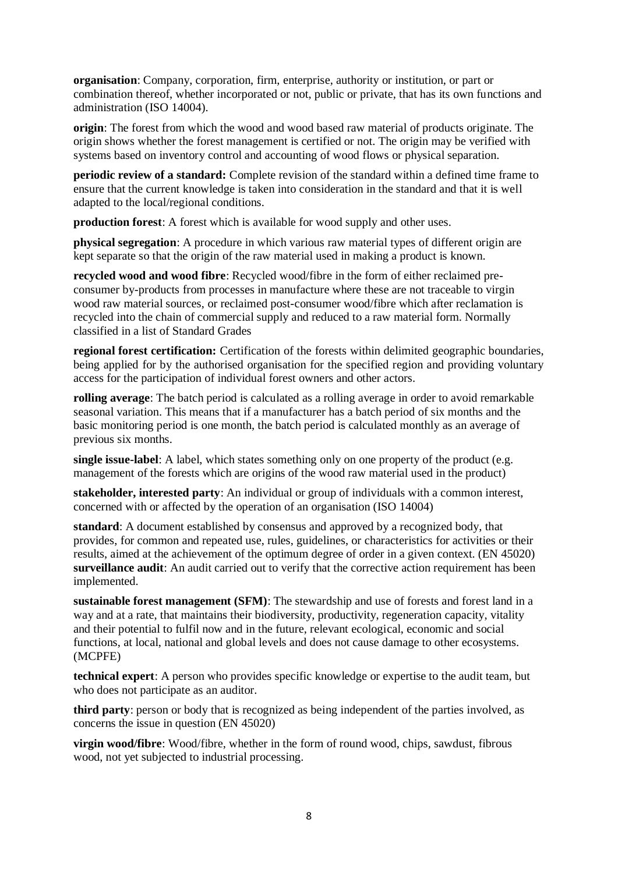**organisation**: Company, corporation, firm, enterprise, authority or institution, or part or combination thereof, whether incorporated or not, public or private, that has its own functions and administration (ISO 14004).

**origin**: The forest from which the wood and wood based raw material of products originate. The origin shows whether the forest management is certified or not. The origin may be verified with systems based on inventory control and accounting of wood flows or physical separation.

**periodic review of a standard:** Complete revision of the standard within a defined time frame to ensure that the current knowledge is taken into consideration in the standard and that it is well adapted to the local/regional conditions.

**production forest**: A forest which is available for wood supply and other uses.

**physical segregation**: A procedure in which various raw material types of different origin are kept separate so that the origin of the raw material used in making a product is known.

**recycled wood and wood fibre**: Recycled wood/fibre in the form of either reclaimed preconsumer by-products from processes in manufacture where these are not traceable to virgin wood raw material sources, or reclaimed post-consumer wood/fibre which after reclamation is recycled into the chain of commercial supply and reduced to a raw material form. Normally classified in a list of Standard Grades

**regional forest certification:** Certification of the forests within delimited geographic boundaries, being applied for by the authorised organisation for the specified region and providing voluntary access for the participation of individual forest owners and other actors.

**rolling average**: The batch period is calculated as a rolling average in order to avoid remarkable seasonal variation. This means that if a manufacturer has a batch period of six months and the basic monitoring period is one month, the batch period is calculated monthly as an average of previous six months.

**single issue-label**: A label, which states something only on one property of the product (e.g. management of the forests which are origins of the wood raw material used in the product)

**stakeholder, interested party**: An individual or group of individuals with a common interest, concerned with or affected by the operation of an organisation (ISO 14004)

**standard**: A document established by consensus and approved by a recognized body, that provides, for common and repeated use, rules, guidelines, or characteristics for activities or their results, aimed at the achievement of the optimum degree of order in a given context. (EN 45020) **surveillance audit**: An audit carried out to verify that the corrective action requirement has been implemented.

**sustainable forest management (SFM)**: The stewardship and use of forests and forest land in a way and at a rate, that maintains their biodiversity, productivity, regeneration capacity, vitality and their potential to fulfil now and in the future, relevant ecological, economic and social functions, at local, national and global levels and does not cause damage to other ecosystems. (MCPFE)

**technical expert**: A person who provides specific knowledge or expertise to the audit team, but who does not participate as an auditor.

**third party**: person or body that is recognized as being independent of the parties involved, as concerns the issue in question (EN 45020)

**virgin wood/fibre**: Wood/fibre, whether in the form of round wood, chips, sawdust, fibrous wood, not yet subjected to industrial processing.